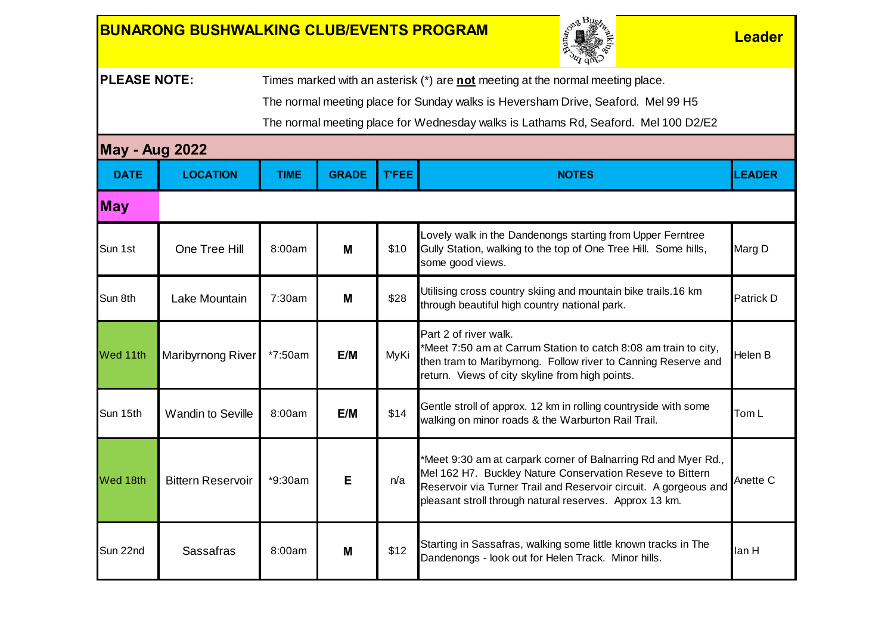## **BUNARONG BUSHWALKING CLUB/EVENTS PROGRAM And the setting of the conduction of the conduction of the conduction**



**PLEASE NOTE:** Times marked with an asterisk (\*) are **not** meeting at the normal meeting place.

The normal meeting place for Sunday walks is Heversham Drive, Seaford. Mel 99 H5

The normal meeting place for Wednesday walks is Lathams Rd, Seaford. Mel 100 D2/E2

## **May - Aug 2022**

| <b>DATE</b> | <b>LOCATION</b>          | <b>TIME</b> | <b>GRADE</b> | <b>T'FEE</b> | <b>NOTES</b>                                                                                                                                                                                                                                               | <b>LEADER</b>    |
|-------------|--------------------------|-------------|--------------|--------------|------------------------------------------------------------------------------------------------------------------------------------------------------------------------------------------------------------------------------------------------------------|------------------|
| <b>May</b>  |                          |             |              |              |                                                                                                                                                                                                                                                            |                  |
| Sun 1st     | One Tree Hill            | 8:00am      | М            | \$10         | Lovely walk in the Dandenongs starting from Upper Ferntree<br>Gully Station, walking to the top of One Tree Hill. Some hills,<br>some good views.                                                                                                          | Marg D           |
| Sun 8th     | Lake Mountain            | 7:30am      | М            | \$28         | Utilising cross country skiing and mountain bike trails.16 km<br>through beautiful high country national park.                                                                                                                                             | <b>Patrick D</b> |
| Wed 11th    | Maribyrnong River        | *7:50am     | E/M          | MyKi         | Part 2 of river walk.<br>*Meet 7:50 am at Carrum Station to catch 8:08 am train to city,<br>then tram to Maribyrnong. Follow river to Canning Reserve and<br>return. Views of city skyline from high points.                                               | Helen B          |
| Sun 15th    | <b>Wandin to Seville</b> | 8:00am      | E/M          | \$14         | Gentle stroll of approx. 12 km in rolling countryside with some<br>walking on minor roads & the Warburton Rail Trail.                                                                                                                                      | Tom L            |
| Wed 18th    | <b>Bittern Reservoir</b> | *9:30am     | E            | n/a          | *Meet 9:30 am at carpark corner of Balnarring Rd and Myer Rd.,<br>Mel 162 H7. Buckley Nature Conservation Reseve to Bittern<br>Reservoir via Turner Trail and Reservoir circuit. A gorgeous and<br>pleasant stroll through natural reserves. Approx 13 km. | Anette C         |
| Sun 22nd    | Sassafras                | 8:00am      | M            | \$12         | Starting in Sassafras, walking some little known tracks in The<br>Dandenongs - look out for Helen Track. Minor hills.                                                                                                                                      | lan H            |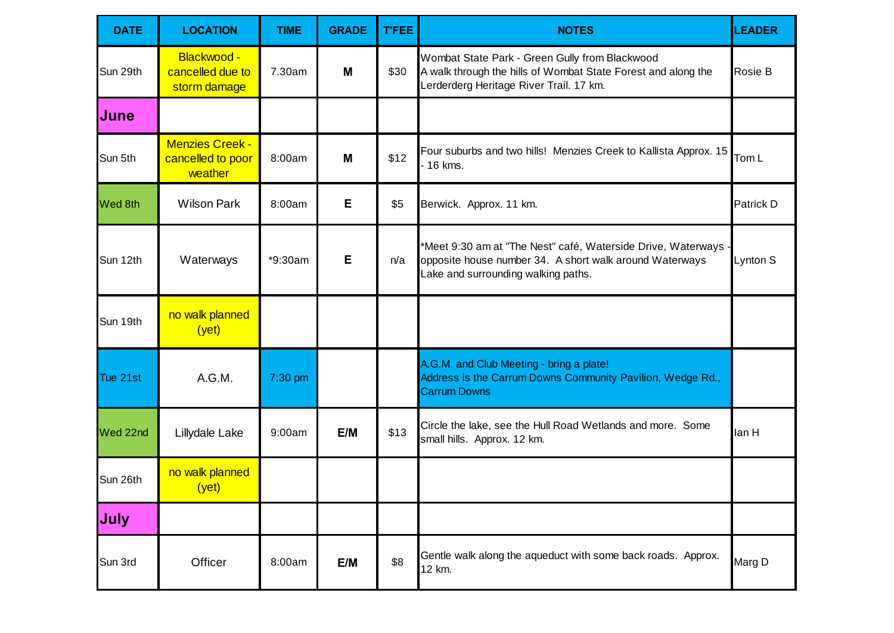| <b>DATE</b> | <b>LOCATION</b>                                        | <b>TIME</b> | <b>GRADE</b> | <b>T'FEE</b> | <b>NOTES</b>                                                                                                                                                     | <b>LEADER</b> |
|-------------|--------------------------------------------------------|-------------|--------------|--------------|------------------------------------------------------------------------------------------------------------------------------------------------------------------|---------------|
| Sun 29th    | Blackwood -<br>cancelled due to<br>storm damage        | 7.30am      | M            | \$30         | Wombat State Park - Green Gully from Blackwood<br>A walk through the hills of Wombat State Forest and along the<br>Lerderderg Heritage River Trail. 17 km.       | Rosie B       |
| <b>June</b> |                                                        |             |              |              |                                                                                                                                                                  |               |
| Sun 5th     | <b>Menzies Creek -</b><br>cancelled to poor<br>weather | 8:00am      | M            | \$12         | Four suburbs and two hills! Menzies Creek to Kallista Approx. 15<br>$16$ kms.                                                                                    | Tom L         |
| Wed 8th     | <b>Wilson Park</b>                                     | 8:00am      | Е            | \$5          | Berwick. Approx. 11 km.                                                                                                                                          | Patrick D     |
| Sun 12th    | Waterways                                              | *9:30am     | E            | n/a          | *Meet 9:30 am at "The Nest" café, Waterside Drive, Waterways -<br>opposite house number 34. A short walk around Waterways<br>Lake and surrounding walking paths. | Lynton S      |
| Sun 19th    | no walk planned<br>(yet)                               |             |              |              |                                                                                                                                                                  |               |
| Tue 21st    | A.G.M.                                                 | 7:30 pm     |              |              | A.G.M. and Club Meeting - bring a plate!<br>Address is the Carrum Downs Community Pavilion, Wedge Rd.,<br><b>Carrum Downs</b>                                    |               |
| Wed 22nd    | Lillydale Lake                                         | 9:00am      | E/M          | \$13         | Circle the lake, see the Hull Road Wetlands and more. Some<br>small hills. Approx. 12 km.                                                                        | lan H         |
| Sun 26th    | no walk planned<br>(yet)                               |             |              |              |                                                                                                                                                                  |               |
| <b>July</b> |                                                        |             |              |              |                                                                                                                                                                  |               |
| Sun 3rd     | Officer                                                | 8:00am      | E/M          | \$8          | Gentle walk along the aqueduct with some back roads. Approx.<br>12 km.                                                                                           | Marg D        |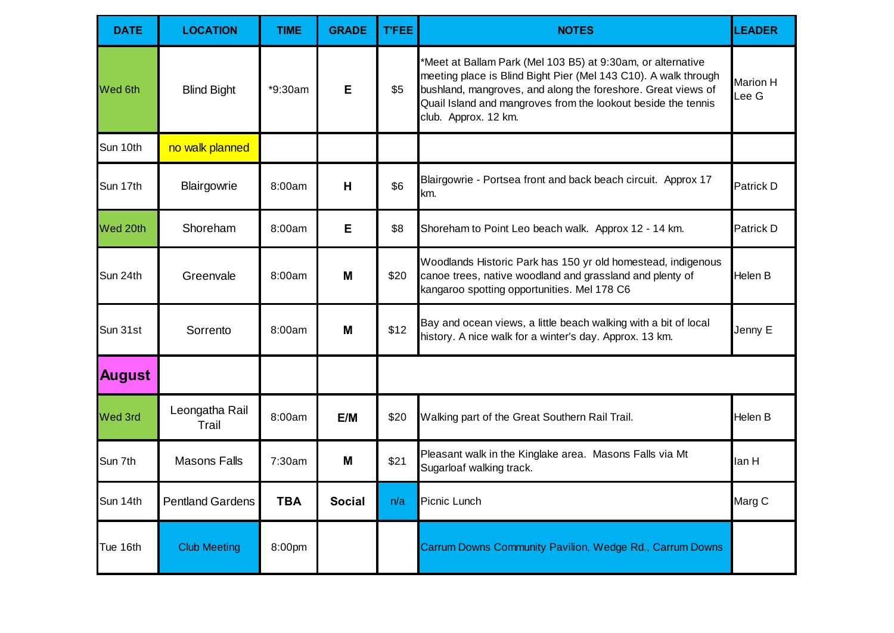| <b>DATE</b>    | <b>LOCATION</b>         | <b>TIME</b> | <b>GRADE</b>  | <b>T'FEE</b> | <b>NOTES</b>                                                                                                                                                                                                                                                                            | <b>LEADER</b>            |
|----------------|-------------------------|-------------|---------------|--------------|-----------------------------------------------------------------------------------------------------------------------------------------------------------------------------------------------------------------------------------------------------------------------------------------|--------------------------|
| <b>Wed 6th</b> | <b>Blind Bight</b>      | *9:30am     | E             | \$5          | *Meet at Ballam Park (Mel 103 B5) at 9:30am, or alternative<br>meeting place is Blind Bight Pier (Mel 143 C10). A walk through<br>bushland, mangroves, and along the foreshore. Great views of<br>Quail Island and mangroves from the lookout beside the tennis<br>club. Approx. 12 km. | <b>Marion H</b><br>Lee G |
| Sun 10th       | no walk planned         |             |               |              |                                                                                                                                                                                                                                                                                         |                          |
| Sun 17th       | Blairgowrie             | 8:00am      | H             | \$6          | Blairgowrie - Portsea front and back beach circuit. Approx 17<br>km.                                                                                                                                                                                                                    | Patrick D                |
| Wed 20th       | Shoreham                | 8:00am      | E             | \$8          | Shoreham to Point Leo beach walk. Approx 12 - 14 km.                                                                                                                                                                                                                                    | Patrick D                |
| Sun 24th       | Greenvale               | 8:00am      | M             | \$20         | Woodlands Historic Park has 150 yr old homestead, indigenous<br>canoe trees, native woodland and grassland and plenty of<br>kangaroo spotting opportunities. Mel 178 C6                                                                                                                 | Helen B                  |
| Sun 31st       | Sorrento                | 8:00am      | M             | \$12         | Bay and ocean views, a little beach walking with a bit of local<br>history. A nice walk for a winter's day. Approx. 13 km.                                                                                                                                                              | Jenny E                  |
| <b>August</b>  |                         |             |               |              |                                                                                                                                                                                                                                                                                         |                          |
| Wed 3rd        | Leongatha Rail<br>Trail | 8:00am      | E/M           | \$20         | Walking part of the Great Southern Rail Trail.                                                                                                                                                                                                                                          | Helen B                  |
| Sun 7th        | <b>Masons Falls</b>     | 7:30am      | M             | \$21         | Pleasant walk in the Kinglake area. Masons Falls via Mt<br>Sugarloaf walking track.                                                                                                                                                                                                     | lan H                    |
| Sun 14th       | <b>Pentland Gardens</b> | <b>TBA</b>  | <b>Social</b> | n/a          | Picnic Lunch                                                                                                                                                                                                                                                                            | Marg C                   |
| Tue 16th       | <b>Club Meeting</b>     | 8:00pm      |               |              | Carrum Downs Community Pavilion, Wedge Rd., Carrum Downs                                                                                                                                                                                                                                |                          |